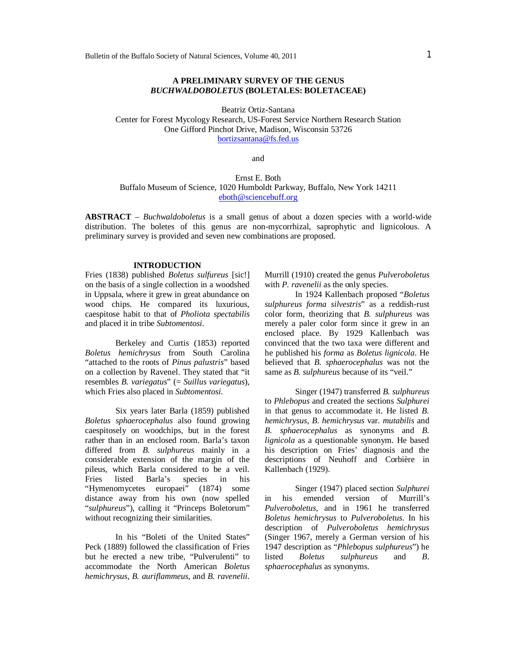## **A PRELIMINARY SURVEY OF THE GENUS**  *BUCHWALDOBOLETUS* **(BOLETALES: BOLETACEAE)**

Beatriz Ortiz-Santana Center for Forest Mycology Research, US-Forest Service Northern Research Station One Gifford Pinchot Drive, Madison, Wisconsin 53726 bortizsantana@fs.fed.us

and

## Ernst E. Both Buffalo Museum of Science, 1020 Humboldt Parkway, Buffalo, New York 14211 eboth@sciencebuff.org

**ABSTRACT** – *Buchwaldoboletus* is a small genus of about a dozen species with a world-wide distribution. The boletes of this genus are non-mycorrhizal, saprophytic and lignicolous. A preliminary survey is provided and seven new combinations are proposed.

#### **INTRODUCTION**

Fries (1838) published *Boletus sulfureus* [sic!] on the basis of a single collection in a woodshed in Uppsala, where it grew in great abundance on wood chips. He compared its luxurious, caespitose habit to that of *Pholiota spectabilis* and placed it in tribe *Subtomentosi*.

Berkeley and Curtis (1853) reported *Boletus hemichrysus* from South Carolina "attached to the roots of *Pinus palustris*" based on a collection by Ravenel. They stated that "it resembles *B. variegatus*" (= *Suillus variegatus*), which Fries also placed in *Subtomentosi*.

Six years later Barla (1859) published *Boletus sphaerocephalus* also found growing caespitosely on woodchips, but in the forest rather than in an enclosed room. Barla's taxon differed from *B. sulphureus* mainly in a considerable extension of the margin of the pileus, which Barla considered to be a veil. Fries listed Barla's species in his "Hymenomycetes europaei" (1874) some distance away from his own (now spelled "*sulphureus*"), calling it "Princeps Boletorum" without recognizing their similarities.

In his "Boleti of the United States" Peck (1889) followed the classification of Fries but he erected a new tribe, "Pulverulenti" to accommodate the North American *Boletus hemichrysus*, *B. auriflammeus*, and *B. ravenelii*. Murrill (1910) created the genus *Pulveroboletus* with *P. ravenelii* as the only species.

In 1924 Kallenbach proposed "*Boletus sulphureus forma silvestris*" as a reddish-rust color form, theorizing that *B. sulphureus* was merely a paler color form since it grew in an enclosed place. By 1929 Kallenbach was convinced that the two taxa were different and he published his *forma* as *Boletus lignicola*. He believed that *B. sphaerocephalus* was not the same as *B. sulphureus* because of its "veil."

Singer (1947) transferred *B. sulphureus* to *Phlebopus* and created the sections *Sulphurei* in that genus to accommodate it. He listed *B. hemichrysus*, *B. hemichrysus* var. *mutabilis* and *B. sphaerocephalus* as synonyms and *B. lignicola* as a questionable synonym. He based his description on Fries' diagnosis and the descriptions of Neuhoff and Corbière in Kallenbach (1929).

Singer (1947) placed section *Sulphurei* in his emended version of Murrill's *Pulveroboletus*, and in 1961 he transferred *Boletus hemichrysus* to *Pulveroboletus*. In his description of *Pulveroboletus hemichrysus* (Singer 1967, merely a German version of his 1947 description as "*Phlebopus sulphureus*") he sulphureus and *B*. *sphaerocephalus* as synonyms.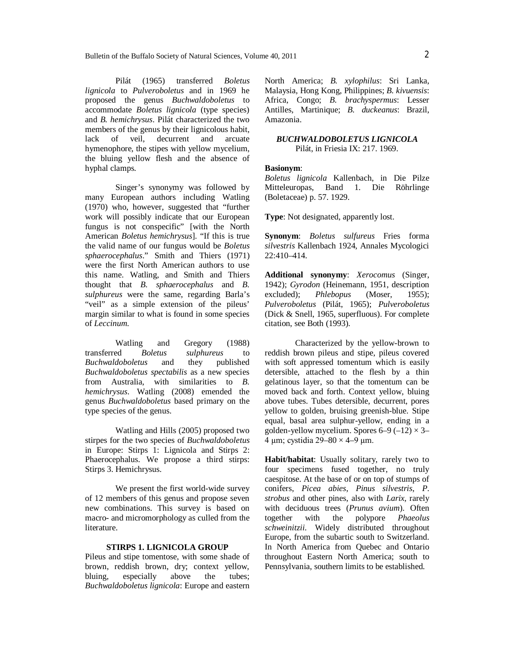Pilát (1965) transferred *Boletus lignicola* to *Pulveroboletus* and in 1969 he proposed the genus *Buchwaldoboletus* to accommodate *Boletus lignicola* (type species) and *B. hemichrysus*. Pilát characterized the two members of the genus by their lignicolous habit, lack of veil, decurrent and arcuate hymenophore, the stipes with yellow mycelium, the bluing yellow flesh and the absence of hyphal clamps.

Singer's synonymy was followed by many European authors including Watling (1970) who, however, suggested that "further work will possibly indicate that our European fungus is not conspecific" [with the North American *Boletus hemichrysus*]. "If this is true the valid name of our fungus would be *Boletus sphaerocephalus*." Smith and Thiers (1971) were the first North American authors to use this name. Watling, and Smith and Thiers thought that *B. sphaerocephalus* and *B. sulphureus* were the same, regarding Barla's "veil" as a simple extension of the pileus' margin similar to what is found in some species of *Leccinum*.

Watling and Gregory (1988)<br>transferred *Boletus* sulphureus to Boletus *sulphureus* to *Buchwaldoboletus* and they published *Buchwaldoboletus spectabilis* as a new species from Australia, with similarities to *B. hemichrysus*. Watling (2008) emended the genus *Buchwaldoboletus* based primary on the type species of the genus.

Watling and Hills (2005) proposed two stirpes for the two species of *Buchwaldoboletus* in Europe: Stirps 1: Lignicola and Stirps 2: Phaerocephalus. We propose a third stirps: Stirps 3. Hemichrysus.

We present the first world-wide survey of 12 members of this genus and propose seven new combinations. This survey is based on macro- and micromorphology as culled from the literature.

## **STIRPS 1. LIGNICOLA GROUP**

Pileus and stipe tomentose, with some shade of brown, reddish brown, dry; context yellow, bluing, especially above the tubes; *Buchwaldoboletus lignicola*: Europe and eastern North America; *B. xylophilus*: Sri Lanka, Malaysia, Hong Kong, Philippines; *B. kivuensis*: Africa, Congo; *B. brachyspermus*: Lesser Antilles, Martinique; *B. duckeanus*: Brazil, Amazonia.

## *BUCHWALDOBOLETUS LIGNICOLA* Pilát, in Friesia IX: 217. 1969.

#### **Basionym**:

*Boletus lignicola* Kallenbach, in Die Pilze Mitteleuropas, Band 1. Die Röhrlinge (Boletaceae) p. 57. 1929.

**Type**: Not designated, apparently lost.

**Synonym**: *Boletus sulfureus* Fries forma *silvestris* Kallenbach 1924, Annales Mycologici 22:410–414.

**Additional synonymy**: *Xerocomus* (Singer, 1942); *Gyrodon* (Heinemann, 1951, description excluded); *Phlebopus* (Moser, 1955); *Pulveroboletus* (Pilát, 1965); *Pulveroboletus* (Dick & Snell, 1965, superfluous). For complete citation, see Both (1993).

Characterized by the yellow-brown to reddish brown pileus and stipe, pileus covered with soft appressed tomentum which is easily detersible, attached to the flesh by a thin gelatinous layer, so that the tomentum can be moved back and forth. Context yellow, bluing above tubes. Tubes detersible, decurrent, pores yellow to golden, bruising greenish-blue. Stipe equal, basal area sulphur-yellow, ending in a golden-yellow mycelium. Spores  $6-9$   $(-12) \times 3-$ 4 µm; cystidia  $29-80 \times 4-9$  µm.

**Habit/habitat**: Usually solitary, rarely two to four specimens fused together, no truly caespitose. At the base of or on top of stumps of conifers, *Picea abies*, *Pinus silvestris*, *P*. *strobus* and other pines, also with *Larix*, rarely with deciduous trees (*Prunus avium*). Often together with the polypore *Phaeolus schweinitzii*. Widely distributed throughout Europe, from the subartic south to Switzerland. In North America from Quebec and Ontario throughout Eastern North America; south to Pennsylvania, southern limits to be established.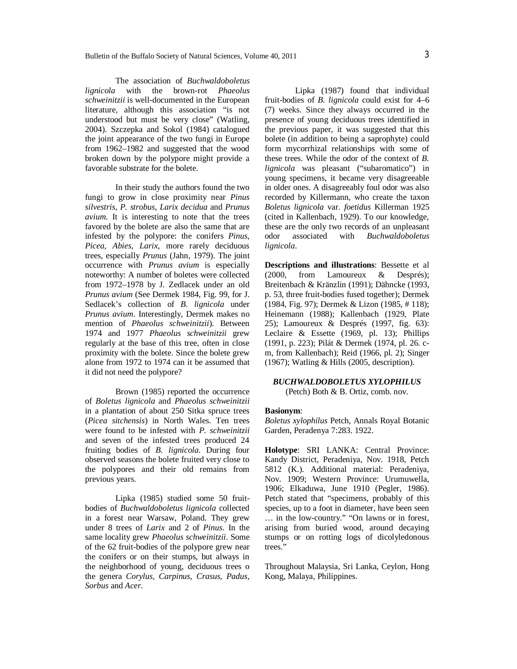The association of *Buchwaldoboletus lignicola* with the brown-rot *Phaeolus schweinitzii* is well-documented in the European literature, although this association "is not understood but must be very close" (Watling, 2004). Szczepka and Sokol (1984) catalogued the joint appearance of the two fungi in Europe from 1962–1982 and suggested that the wood broken down by the polypore might provide a favorable substrate for the bolete.

In their study the authors found the two fungi to grow in close proximity near *Pinus silvestris*, *P. strobus*, *Larix decidua* and *Prunus avium*. It is interesting to note that the trees favored by the bolete are also the same that are infested by the polypore: the conifers *Pinus*, *Picea*, *Abies*, *Larix*, more rarely deciduous trees, especially *Prunus* (Jahn, 1979). The joint occurrence with *Prunus avium* is especially noteworthy: A number of boletes were collected from 1972–1978 by J. Zedlacek under an old *Prunus avium* (See Dermek 1984, Fig. 99, for J. Sedlacek's collection of *B. lignicola* under *Prunus avium*. Interestingly, Dermek makes no mention of *Phaeolus schweinitzii*). Between 1974 and 1977 *Phaeolus schweinitzii* grew regularly at the base of this tree, often in close proximity with the bolete. Since the bolete grew alone from 1972 to 1974 can it be assumed that it did not need the polypore?

Brown (1985) reported the occurrence of *Boletus lignicola* and *Phaeolus schweinitzii* in a plantation of about 250 Sitka spruce trees (*Picea sitchensis*) in North Wales. Ten trees were found to be infested with *P*. *schweinitzii* and seven of the infested trees produced 24 fruiting bodies of *B. lignicola*. During four observed seasons the bolete fruited very close to the polypores and their old remains from previous years.

Lipka (1985) studied some 50 fruitbodies of *Buchwaldoboletus lignicola* collected in a forest near Warsaw, Poland. They grew under 8 trees of *Larix* and 2 of *Pinus*. In the same locality grew *Phaeolus schweinitzii*. Some of the 62 fruit-bodies of the polypore grew near the conifers or on their stumps, but always in the neighborhood of young, deciduous trees o the genera *Corylus, Carpinus, Crasus, Padus, Sorbus* and *Acer.* 

Lipka (1987) found that individual fruit-bodies of *B. lignicola* could exist for 4–6 (7) weeks. Since they always occurred in the presence of young deciduous trees identified in the previous paper, it was suggested that this bolete (in addition to being a saprophyte) could form mycorrhizal relationships with some of these trees. While the odor of the context of *B. lignicola* was pleasant ("subaromatico") in young specimens, it became very disagreeable in older ones. A disagreeably foul odor was also recorded by Killermann, who create the taxon *Boletus lignicola* var. *foetidus* Killerman 1925 (cited in Kallenbach, 1929). To our knowledge, these are the only two records of an unpleasant odor associated with *Buchwaldoboletus lignicola*.

**Descriptions and illustrations**: Bessette et al (2000, from Lamoureux & Després); Breitenbach & Kränzlin (1991); Dähncke (1993, p. 53, three fruit-bodies fused together); Dermek (1984, Fig. 97); Dermek & Lizon (1985, # 118); Heinemann (1988); Kallenbach (1929, Plate 25); Lamoureux & Després (1997, fig. 63): Leclaire & Essette (1969, pl. 13); Phillips (1991, p. 223); Pilát & Dermek (1974, pl. 26. cm, from Kallenbach); Reid (1966, pl. 2); Singer (1967); Watling & Hills (2005, description).

## *BUCHWALDOBOLETUS XYLOPHILUS*

(Petch) Both & B. Ortiz, comb. nov.

## **Basionym**:

*Boletus xylophilus* Petch, Annals Royal Botanic Garden, Peradenya 7:283. 1922.

**Holotype**: SRI LANKA: Central Province: Kandy District, Peradeniya, Nov. 1918, Petch 5812 (K.). Additional material: Peradeniya, Nov. 1909; Western Province: Urumuwella, 1906; Elkaduwa, June 1910 (Pegler, 1986). Petch stated that "specimens, probably of this species, up to a foot in diameter, have been seen … in the low-country." "On lawns or in forest, arising from buried wood, around decaying stumps or on rotting logs of dicolyledonous trees."

Throughout Malaysia, Sri Lanka, Ceylon, Hong Kong, Malaya, Philippines.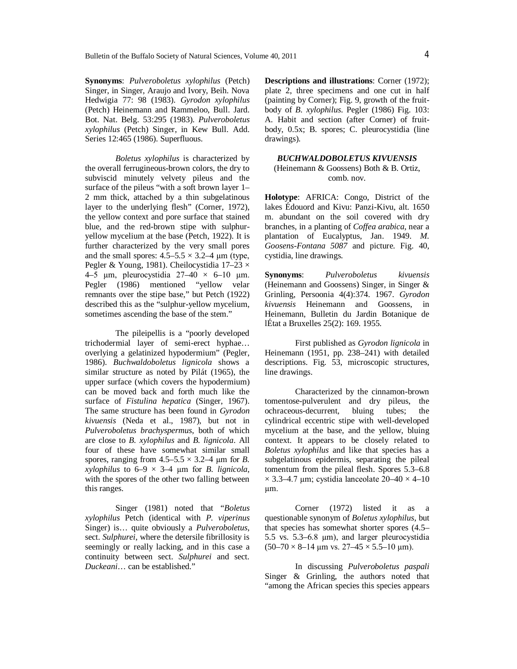**Synonyms**: *Pulveroboletus xylophilus* (Petch) Singer, in Singer, Araujo and Ivory, Beih. Nova Hedwigia 77: 98 (1983). *Gyrodon xylophilus* (Petch) Heinemann and Rammeloo, Bull. Jard. Bot. Nat. Belg. 53:295 (1983). *Pulveroboletus xylophilus* (Petch) Singer, in Kew Bull. Add. Series 12:465 (1986). Superfluous.

*Boletus xylophilus* is characterized by the overall ferrugineous-brown colors, the dry to subviscid minutely velvety pileus and the surface of the pileus "with a soft brown layer 1– 2 mm thick, attached by a thin subgelatinous layer to the underlying flesh" (Corner, 1972), the yellow context and pore surface that stained blue, and the red-brown stipe with sulphuryellow mycelium at the base (Petch, 1922). It is further characterized by the very small pores and the small spores:  $4.5-5.5 \times 3.2-4 \mu m$  (type, Pegler & Young, 1981). Cheilocystidia  $17-23 \times$ 4–5 µm, pleurocystidia  $27-40 \times 6-10$  µm. Pegler (1986) mentioned "yellow velar remnants over the stipe base," but Petch (1922) described this as the "sulphur-yellow mycelium, sometimes ascending the base of the stem."

The pileipellis is a "poorly developed trichodermial layer of semi-erect hyphae… overlying a gelatinized hypodermium" (Pegler, 1986). *Buchwaldoboletus lignicola* shows a similar structure as noted by Pilát (1965), the upper surface (which covers the hypodermium) can be moved back and forth much like the surface of *Fistulina hepatica* (Singer, 1967). The same structure has been found in *Gyrodon kivuensis* (Neda et al., 1987), but not in *Pulveroboletus brachyspermus*, both of which are close to *B. xylophilus* and *B. lignicola*. All four of these have somewhat similar small spores, ranging from  $4.5-5.5 \times 3.2-4$  µm for *B*.  $x \vee y$ , *xylophilus* to  $6-9 \times 3-4$  µm for *B. lignicola*, with the spores of the other two falling between this ranges.

Singer (1981) noted that "*Boletus xylophilus* Petch (identical with *P. viperinus* Singer) is… quite obviously a *Pulveroboletus*, sect. *Sulphurei*, where the detersile fibrillosity is seemingly or really lacking, and in this case a continuity between sect. *Sulphurei* and sect. *Duckeani*… can be established."

**Descriptions and illustrations**: Corner (1972); plate 2, three specimens and one cut in half (painting by Corner); Fig. 9, growth of the fruitbody of *B. xylophilus*. Pegler (1986) Fig. 103: A. Habit and section (after Corner) of fruitbody, 0.5x; B. spores; C. pleurocystidia (line drawings).

## *BUCHWALDOBOLETUS KIVUENSIS* (Heinemann & Goossens) Both & B. Ortiz, comb. nov.

**Holotype**: AFRICA: Congo, District of the lakes Édouord and Kivu: Panzi-Kivu, alt. 1650 m. abundant on the soil covered with dry branches, in a planting of *Coffea arabica*, near a plantation of Eucalyptus, Jan. 1949. *M. Goosens-Fontana 5087* and picture. Fig. 40, cystidia, line drawings.

**Synonyms**: *Pulveroboletus kivuensis* (Heinemann and Goossens) Singer, in Singer & Grinling, Persoonia 4(4):374. 1967. *Gyrodon kivuensis* Heinemann and Goossens, in Heinemann, Bulletin du Jardin Botanique de lÉtat a Bruxelles 25(2): 169. 1955.

First published as *Gyrodon lignicola* in Heinemann (1951, pp. 238–241) with detailed descriptions. Fig. 53, microscopic structures, line drawings.

Characterized by the cinnamon-brown tomentose-pulverulent and dry pileus, the ochraceous-decurrent, bluing tubes; the cylindrical eccentric stipe with well-developed mycelium at the base, and the yellow, bluing context. It appears to be closely related to *Boletus xylophilus* and like that species has a subgelatinous epidermis, separating the pileal tomentum from the pileal flesh. Spores 5.3–6.8  $\times$  3.3–4.7 µm; cystidia lanceolate 20–40  $\times$  4–10 µm.

Corner (1972) listed it as a questionable synonym of *Boletus xylophilus*, but that species has somewhat shorter spores (4.5– 5.5 vs. 5.3–6.8 µm), and larger pleurocystidia  $(50-70 \times 8-14 \text{ µm vs. } 27-45 \times 5.5-10 \text{ µm}).$ 

In discussing *Pulveroboletus paspali* Singer & Grinling, the authors noted that "among the African species this species appears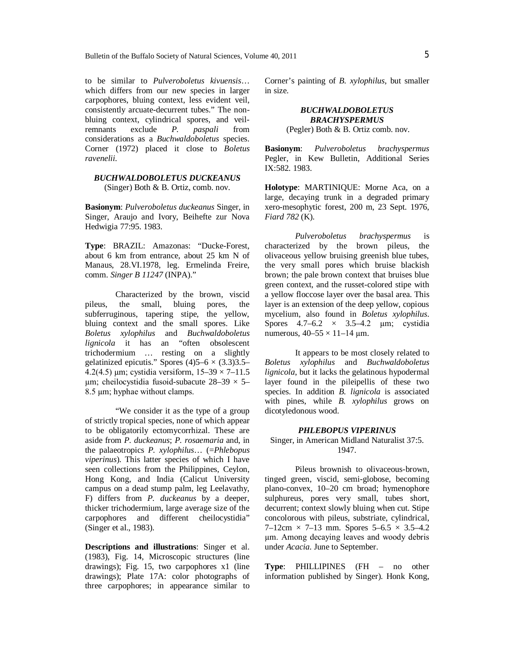to be similar to *Pulveroboletus kivuensis*… which differs from our new species in larger carpophores, bluing context, less evident veil, consistently arcuate-decurrent tubes." The nonbluing context, cylindrical spores, and veil-<br>remnants exclude  $P$ ,  $p$  *paspali* from remnants exclude *P. paspali* from considerations as a *Buchwaldoboletus* species. Corner (1972) placed it close to *Boletus ravenelii*.

## *BUCHWALDOBOLETUS DUCKEANUS* (Singer) Both & B. Ortiz, comb. nov.

**Basionym**: *Pulveroboletus duckeanus* Singer, in Singer, Araujo and Ivory, Beihefte zur Nova Hedwigia 77:95. 1983.

**Type**: BRAZIL: Amazonas: "Ducke-Forest, about 6 km from entrance, about 25 km N of Manaus, 28.VI.1978, leg. Ermelinda Freire, comm. *Singer B 11247* (INPA)."

Characterized by the brown, viscid<br>the small, bluing pores, the pileus, the small, bluing pores, the subferruginous, tapering stipe, the yellow, bluing context and the small spores. Like *Boletus xylophilus* and *Buchwaldoboletus lignicola* it has an "often obsolescent trichodermium … resting on a slightly gelatinized epicutis." Spores  $(4)5-6 \times (3.3)3.5-$ 4.2(4.5) µm; cystidia versiform,  $15-39 \times 7-11.5$  $\mu$ m; cheilocystidia fusoid-subacute 28–39  $\times$  5– 8.5 µm; hyphae without clamps.

"We consider it as the type of a group of strictly tropical species, none of which appear to be obligatorily ectomycorrhizal. These are aside from *P. duckeanus*; *P. rosaemaria* and, in the palaeotropics *P. xylophilus*… (=*Phlebopus viperinus*). This latter species of which I have seen collections from the Philippines, Ceylon, Hong Kong, and India (Calicut University campus on a dead stump palm, leg Leelavathy, F) differs from *P. duckeanus* by a deeper, thicker trichodermium, large average size of the carpophores and different cheilocystidia" (Singer et al., 1983).

**Descriptions and illustrations**: Singer et al. (1983), Fig. 14, Microscopic structures (line drawings); Fig. 15, two carpophores x1 (line drawings); Plate 17A: color photographs of three carpophores; in appearance similar to Corner's painting of *B. xylophilus*, but smaller in size.

> *BUCHWALDOBOLETUS BRACHYSPERMUS* (Pegler) Both & B. Ortiz comb. nov.

**Basionym**: *Pulveroboletus brachyspermus* Pegler, in Kew Bulletin, Additional Series IX:582. 1983.

**Holotype**: MARTINIQUE: Morne Aca, on a large, decaying trunk in a degraded primary xero-mesophytic forest, 200 m, 23 Sept. 1976, *Fiard 782* (K).

*Pulveroboletus brachyspermus* is characterized by the brown pileus, the olivaceous yellow bruising greenish blue tubes, the very small pores which bruise blackish brown; the pale brown context that bruises blue green context, and the russet-colored stipe with a yellow floccose layer over the basal area. This layer is an extension of the deep yellow, copious mycelium, also found in *Boletus xylophilus*. Spores  $4.7-6.2 \times 3.5-4.2 \mu m$ ; cystidia numerous,  $40-55 \times 11-14 \text{ }\mu\text{m}$ .

It appears to be most closely related to *Boletus xylophilus* and *Buchwaldoboletus lignicola*, but it lacks the gelatinous hypodermal layer found in the pileipellis of these two species. In addition *B. lignicola* is associated with pines, while *B. xylophilus* grows on dicotyledonous wood.

#### *PHLEBOPUS VIPERINUS*

Singer, in American Midland Naturalist 37:5. 1947.

Pileus brownish to olivaceous-brown, tinged green, viscid, semi-globose, becoming plano-convex, 10–20 cm broad; hymenophore sulphureus, pores very small, tubes short, decurrent; context slowly bluing when cut. Stipe concolorous with pileus, substriate, cylindrical,  $7-12$ cm  $\times$  7–13 mm. Spores 5–6.5  $\times$  3.5–4.2 µm. Among decaying leaves and woody debris under *Acacia*. June to September.

**Type**: PHILLIPINES (FH – no other information published by Singer). Honk Kong,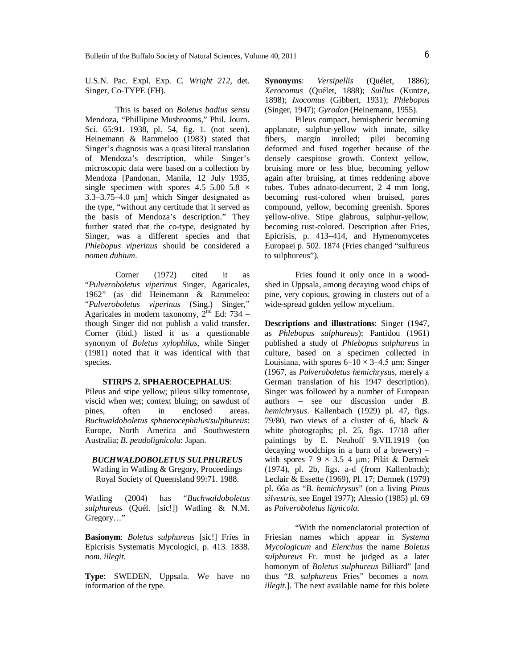U.S.N. Pac. Expl. Exp. *C. Wright 212*, det. Singer, Co-TYPE (FH).

This is based on *Boletus badius sensu* Mendoza, "Phillipine Mushrooms," Phil. Journ. Sci. 65:91. 1938, pl. 54, fig. 1. (not seen). Heinemann & Rammeloo (1983) stated that Singer's diagnosis was a quasi literal translation of Mendoza's description, while Singer's microscopic data were based on a collection by Mendoza [Pandonan, Manila, 12 July 1935, single specimen with spores  $4.5-5.00-5.8 \times$ 3.3–3.75–4.0 µm] which Singer designated as the type, "without any certitude that it served as the basis of Mendoza's description." They further stated that the co-type, designated by Singer, was a different species and that *Phlebopus viperinus* should be considered a *nomen dubium*.

Corner (1972) cited it as "*Pulveroboletus viperinus* Singer, Agaricales, 1962" (as did Heinemann & Rammeleo: "*Pulveroboletus viperinus* (Sing.) Singer," Agaricales in modern taxonomy,  $2<sup>nd</sup>$  Ed: 734 – though Singer did not publish a valid transfer. Corner (ibid.) listed it as a questionable synonym of *Boletus xylophilus*, while Singer (1981) noted that it was identical with that species.

#### **STIRPS 2. SPHAEROCEPHALUS**:

Pileus and stipe yellow; pileus silky tomentose, viscid when wet; context bluing; on sawdust of pines, often in enclosed areas. *Buchwaldoboletus sphaerocephalus*/*sulphureus*: Europe, North America and Southwestern Australia; *B. peudolignicola*: Japan.

#### *BUCHWALDOBOLETUS SULPHUREUS*

Watling in Watling & Gregory, Proceedings Royal Society of Queensland 99:71. 1988.

Watling (2004) has "*Buchwaldoboletus sulphureus* (Quél. [sic!]) Watling & N.M. Gregory…"

**Basionym**: *Boletus sulphureus* [sic!] Fries in Epicrisis Systematis Mycologici, p. 413. 1838. *nom. illegit*.

**Type**: SWEDEN, Uppsala. We have no information of the type.

**Synonyms**: *Versipellis* (Quélet, 1886); *Xerocomus* (Quélet, 1888); *Suillus* (Kuntze, 1898); *Ixocomus* (Gibbert, 1931); *Phlebopus* (Singer, 1947); *Gyrodon* (Heinemann, 1955).

Pileus compact, hemispheric becoming applanate, sulphur-yellow with innate, silky fibers, margin inrolled; pilei becoming deformed and fused together because of the densely caespitose growth. Context yellow, bruising more or less blue, becoming yellow again after bruising, at times reddening above tubes. Tubes adnato-decurrent, 2–4 mm long, becoming rust-colored when bruised, pores compound, yellow, becoming greenish. Spores yellow-olive. Stipe glabrous, sulphur-yellow, becoming rust-colored. Description after Fries, Epicrisis, p. 413–414, and Hymenomycetes Europaei p. 502. 1874 (Fries changed "sulfureus to sulphureus").

Fries found it only once in a woodshed in Uppsala, among decaying wood chips of pine, very copious, growing in clusters out of a wide-spread golden yellow mycelium.

**Descriptions and illustrations**: Singer (1947, as *Phlebopus sulphureus*); Pantidou (1961) published a study of *Phlebopus sulphureus* in culture, based on a specimen collected in Louisiana, with spores  $6-10 \times 3-4.5$  µm; Singer (1967, as *Pulveroboletus hemichrysus*, merely a German translation of his 1947 description). Singer was followed by a number of European authors – see our discussion under *B. hemichrysus*. Kallenbach (1929) pl. 47, figs. 79/80, two views of a cluster of 6, black & white photographs; pl. 25, figs. 17/18 after paintings by E. Neuhoff 9.VII.1919 (on decaying woodchips in a barn of a brewery) – with spores  $7-9 \times 3.5-4 \mu m$ ; Pilát & Dermek  $(1974)$ , pl. 2b, figs. a-d (from Kallenbach); Leclair & Essette (1969), Pl. 17; Dermek (1979) pl. 66a as "*B. hemichrysus*" (on a living *Pinus silvestris*, see Engel 1977); Alessio (1985) pl. 69 as *Pulveroboletus lignicola*.

"With the nomenclatorial protection of Friesian names which appear in *Systema Mycologicum* and *Elenchus* the name *Boletus sulphureus* Fr. must be judged as a later homonym of *Boletus sulphureus* Billiard" [and thus "*B. sulphureus* Fries" becomes a *nom. illegit*.]. The next available name for this bolete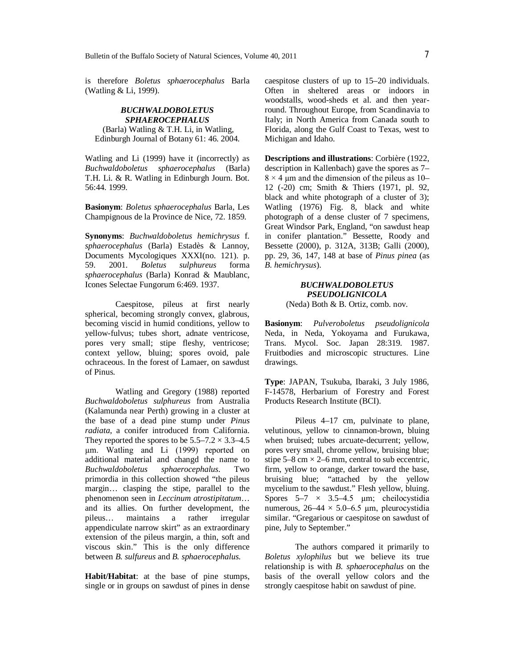is therefore *Boletus sphaerocephalus* Barla (Watling & Li, 1999).

## *BUCHWALDOBOLETUS SPHAEROCEPHALUS*

(Barla) Watling & T.H. Li, in Watling, Edinburgh Journal of Botany 61: 46. 2004.

Watling and Li (1999) have it (incorrectly) as *Buchwaldoboletus sphaerocephalus* (Barla) T.H. Li. & R. Watling in Edinburgh Journ. Bot. 56:44. 1999.

**Basionym**: *Boletus sphaerocephalus* Barla, Les Champignous de la Province de Nice, 72. 1859.

**Synonyms**: *Buchwaldoboletus hemichrysus* f. *sphaerocephalus* (Barla) Estadès & Lannoy, Documents Mycologiques XXXI(no. 121). p. 59. 2001. *Boletus sulphureus* forma *sphaerocephalus* (Barla) Konrad & Maublanc, Icones Selectae Fungorum 6:469. 1937.

Caespitose, pileus at first nearly spherical, becoming strongly convex, glabrous, becoming viscid in humid conditions, yellow to yellow-fulvus; tubes short, adnate ventricose, pores very small; stipe fleshy, ventricose; context yellow, bluing; spores ovoid, pale ochraceous. In the forest of Lamaer, on sawdust of Pinus.

Watling and Gregory (1988) reported *Buchwaldoboletus sulphureus* from Australia (Kalamunda near Perth) growing in a cluster at the base of a dead pine stump under *Pinus radiata*, a conifer introduced from California. They reported the spores to be  $5.5-7.2 \times 3.3-4.5$ µm. Watling and Li (1999) reported on additional material and changd the name to<br>Buchwaldoboletus sphaerocephalus. Two *Buchwaldoboletus sphaerocephalus*. Two primordia in this collection showed "the pileus margin… clasping the stipe, parallel to the phenomenon seen in *Leccinum atrostipitatum*… and its allies. On further development, the pileus… maintains a rather irregular appendiculate narrow skirt" as an extraordinary extension of the pileus margin, a thin, soft and viscous skin." This is the only difference between *B. sulfureus* and *B. sphaerocephalus*.

**Habit/Habitat**: at the base of pine stumps, single or in groups on sawdust of pines in dense

caespitose clusters of up to 15–20 individuals. Often in sheltered areas or indoors in woodstalls, wood-sheds et al. and then yearround. Throughout Europe, from Scandinavia to Italy; in North America from Canada south to Florida, along the Gulf Coast to Texas, west to Michigan and Idaho.

**Descriptions and illustrations**: Corbière (1922, description in Kallenbach) gave the spores as 7–  $8 \times 4$  µm and the dimension of the pileus as 10– 12 (-20) cm; Smith & Thiers (1971, pl. 92, black and white photograph of a cluster of 3); Watling (1976) Fig. 8, black and white photograph of a dense cluster of 7 specimens, Great Windsor Park, England, "on sawdust heap in conifer plantation." Bessette, Roody and Bessette (2000), p. 312A, 313B; Galli (2000), pp. 29, 36, 147, 148 at base of *Pinus pinea* (as *B. hemichrysus*).

# *BUCHWALDOBOLETUS PSEUDOLIGNICOLA*

(Neda) Both & B. Ortiz, comb. nov.

**Basionym**: *Pulveroboletus pseudolignicola* Neda, in Neda, Yokoyama and Furukawa, Trans. Mycol. Soc. Japan 28:319. 1987. Fruitbodies and microscopic structures. Line drawings.

**Type**: JAPAN, Tsukuba, Ibaraki, 3 July 1986, F-14578, Herbarium of Forestry and Forest Products Research Institute (BCI).

Pileus 4–17 cm, pulvinate to plane, velutinous, yellow to cinnamon-brown, bluing when bruised; tubes arcuate-decurrent; yellow, pores very small, chrome yellow, bruising blue; stipe  $5-8$  cm  $\times$  2–6 mm, central to sub eccentric, firm, yellow to orange, darker toward the base, bruising blue; "attached by the yellow mycelium to the sawdust." Flesh yellow, bluing. Spores  $5-7 \times 3.5-4.5 \mu m$ ; cheilocystidia numerous,  $26-44 \times 5.0-6.5$  µm, pleurocystidia similar. "Gregarious or caespitose on sawdust of pine, July to September."

The authors compared it primarily to *Boletus xylophilus* but we believe its true relationship is with *B. sphaerocephalus* on the basis of the overall yellow colors and the strongly caespitose habit on sawdust of pine.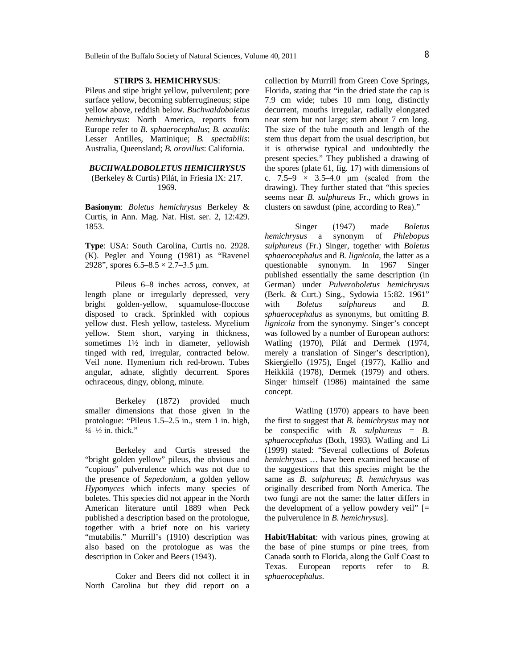## **STIRPS 3. HEMICHRYSUS**:

Pileus and stipe bright yellow, pulverulent; pore surface yellow, becoming subferrugineous; stipe yellow above, reddish below. *Buchwaldoboletus hemichrysus*: North America, reports from Europe refer to *B. sphaerocephalus*; *B. acaulis*: Lesser Antilles, Martinique; *B. spectabilis*: Australia, Queensland; *B. orovillus*: California.

### *BUCHWALDOBOLETUS HEMICHRYSUS*

(Berkeley & Curtis) Pilát, in Friesia IX: 217. 1969.

**Basionym**: *Boletus hemichrysus* Berkeley & Curtis, in Ann. Mag. Nat. Hist. ser. 2, 12:429. 1853.

**Type**: USA: South Carolina, Curtis no. 2928. (K). Pegler and Young (1981) as "Ravenel 2928", spores  $6.5 - 8.5 \times 2.7 - 3.5 \mu m$ .

Pileus 6–8 inches across, convex, at length plane or irregularly depressed, very bright golden-yellow, squamulose-floccose disposed to crack. Sprinkled with copious yellow dust. Flesh yellow, tasteless. Mycelium yellow. Stem short, varying in thickness, sometimes  $1\frac{1}{2}$  inch in diameter, yellowish tinged with red, irregular, contracted below. Veil none. Hymenium rich red-brown. Tubes angular, adnate, slightly decurrent. Spores ochraceous, dingy, oblong, minute.

Berkeley (1872) provided much smaller dimensions that those given in the protologue: "Pileus 1.5–2.5 in., stem 1 in. high,  $\frac{1}{4} - \frac{1}{2}$  in. thick."

Berkeley and Curtis stressed the "bright golden yellow" pileus, the obvious and "copious" pulverulence which was not due to the presence of *Sepedonium*, a golden yellow *Hypomyces* which infects many species of boletes. This species did not appear in the North American literature until 1889 when Peck published a description based on the protologue, together with a brief note on his variety "mutabilis." Murrill's (1910) description was also based on the protologue as was the description in Coker and Beers (1943).

Coker and Beers did not collect it in North Carolina but they did report on a collection by Murrill from Green Cove Springs, Florida, stating that "in the dried state the cap is 7.9 cm wide; tubes 10 mm long, distinctly decurrent, mouths irregular, radially elongated near stem but not large; stem about 7 cm long. The size of the tube mouth and length of the stem thus depart from the usual description, but it is otherwise typical and undoubtedly the present species." They published a drawing of the spores (plate 61, fig. 17) with dimensions of c.  $7.5-9 \times 3.5-4.0 \mu m$  (scaled from the drawing). They further stated that "this species seems near *B. sulphureus* Fr., which grows in clusters on sawdust (pine, according to Rea)."

Singer (1947) made *Boletus hemichrysus* a synonym of *Phlebopus sulphureus* (Fr.) Singer, together with *Boletus sphaerocephalus* and *B. lignicola*, the latter as a questionable synonym. In 1967 Singer published essentially the same description (in German) under *Pulveroboletus hemichrysus* (Berk. & Curt.) Sing., Sydowia 15:82. 1961" with *Boletus sulphureus* and *B. sphaerocephalus* as synonyms, but omitting *B. lignicola* from the synonymy. Singer's concept was followed by a number of European authors: Watling (1970), Pilát and Dermek (1974, merely a translation of Singer's description), Skiergiello (1975), Engel (1977), Kallio and Heikkilä (1978), Dermek (1979) and others. Singer himself (1986) maintained the same concept.

Watling (1970) appears to have been the first to suggest that *B. hemichrysus* may not be conspecific with *B. sulphureus* = *B. sphaerocephalus* (Both, 1993). Watling and Li (1999) stated: "Several collections of *Boletus hemichrysus* … have been examined because of the suggestions that this species might be the same as *B. sulphureus*; *B. hemichrysus* was originally described from North America. The two fungi are not the same: the latter differs in the development of a yellow powdery veil"  $\equiv$ the pulverulence in *B. hemichrysus*].

**Habit/Habitat**: with various pines, growing at the base of pine stumps or pine trees, from Canada south to Florida, along the Gulf Coast to Texas. European reports refer to *B. sphaerocephalus*.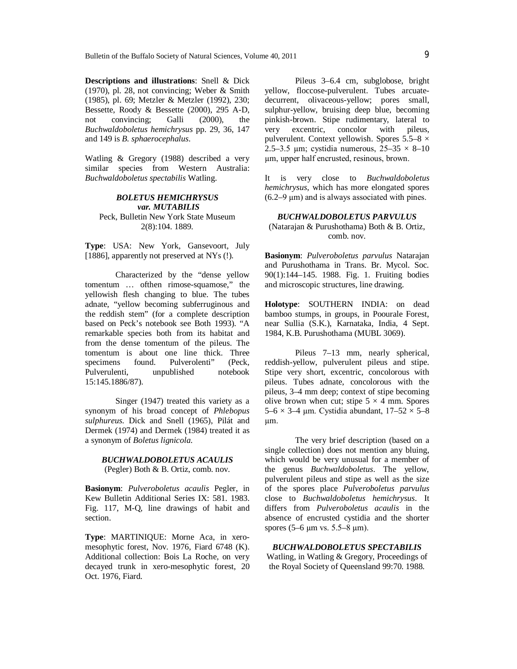**Descriptions and illustrations**: Snell & Dick (1970), pl. 28, not convincing; Weber & Smith (1985), pl. 69; Metzler & Metzler (1992), 230; Bessette, Roody & Bessette (2000), 295 A-D, not convincing; Galli (2000), the *Buchwaldoboletus hemichrysus* pp. 29, 36, 147 and 149 is *B. sphaerocephalus*.

Watling & Gregory (1988) described a very similar species from Western Australia: *Buchwaldoboletus spectabilis* Watling.

## *BOLETUS HEMICHRYSUS var. MUTABILIS* Peck, Bulletin New York State Museum 2(8):104. 1889.

**Type**: USA: New York, Gansevoort, July [1886], apparently not preserved at NYs (!).

Characterized by the "dense yellow tomentum … ofthen rimose-squamose," the yellowish flesh changing to blue. The tubes adnate, "yellow becoming subferruginous and the reddish stem" (for a complete description based on Peck's notebook see Both 1993). "A remarkable species both from its habitat and from the dense tomentum of the pileus. The tomentum is about one line thick. Three specimens found. Pulverolenti" (Peck, Pulverulenti, unpublished notebook 15:145.1886/87).

Singer (1947) treated this variety as a synonym of his broad concept of *Phlebopus sulphureus*. Dick and Snell (1965), Pilát and Dermek (1974) and Dermek (1984) treated it as a synonym of *Boletus lignicola*.

*BUCHWALDOBOLETUS ACAULIS* (Pegler) Both & B. Ortiz, comb. nov.

**Basionym**: *Pulveroboletus acaulis* Pegler, in Kew Bulletin Additional Series IX: 581. 1983. Fig. 117, M-Q, line drawings of habit and section.

**Type**: MARTINIQUE: Morne Aca, in xeromesophytic forest, Nov. 1976, Fiard 6748 (K). Additional collection: Bois La Roche, on very decayed trunk in xero-mesophytic forest, 20 Oct. 1976, Fiard.

Pileus 3–6.4 cm, subglobose, bright yellow, floccose-pulverulent. Tubes arcuatedecurrent, olivaceous-yellow; pores small, sulphur-yellow, bruising deep blue, becoming pinkish-brown. Stipe rudimentary, lateral to very excentric, concolor with pileus, pulverulent. Context yellowish. Spores  $5.5-8 \times$ 2.5–3.5 µm; cystidia numerous,  $25-35 \times 8-10$ µm, upper half encrusted, resinous, brown.

It is very close to *Buchwaldoboletus hemichrysus*, which has more elongated spores  $(6.2–9 \mu m)$  and is always associated with pines.

## *BUCHWALDOBOLETUS PARVULUS* (Natarajan & Purushothama) Both & B. Ortiz, comb. nov.

**Basionym**: *Pulveroboletus parvulus* Natarajan and Purushothama in Trans. Br. Mycol. Soc. 90(1):144–145. 1988. Fig. 1. Fruiting bodies and microscopic structures, line drawing.

**Holotype**: SOUTHERN INDIA: on dead bamboo stumps, in groups, in Poourale Forest, near Sullia (S.K.), Karnataka, India, 4 Sept. 1984, K.B. Purushothama (MUBL 3069).

Pileus 7–13 mm, nearly spherical, reddish-yellow, pulverulent pileus and stipe. Stipe very short, excentric, concolorous with pileus. Tubes adnate, concolorous with the pileus, 3–4 mm deep; context of stipe becoming olive brown when cut; stipe  $5 \times 4$  mm. Spores 5–6  $\times$  3–4 µm. Cystidia abundant,  $17-52 \times 5-8$ µm.

The very brief description (based on a single collection) does not mention any bluing, which would be very unusual for a member of the genus *Buchwaldoboletus*. The yellow, pulverulent pileus and stipe as well as the size of the spores place *Pulveroboletus parvulus* close to *Buchwaldoboletus hemichrysus*. It differs from *Pulveroboletus acaulis* in the absence of encrusted cystidia and the shorter spores (5–6 µm vs. 5.5–8 µm).

*BUCHWALDOBOLETUS SPECTABILIS* Watling, in Watling & Gregory, Proceedings of the Royal Society of Queensland 99:70. 1988.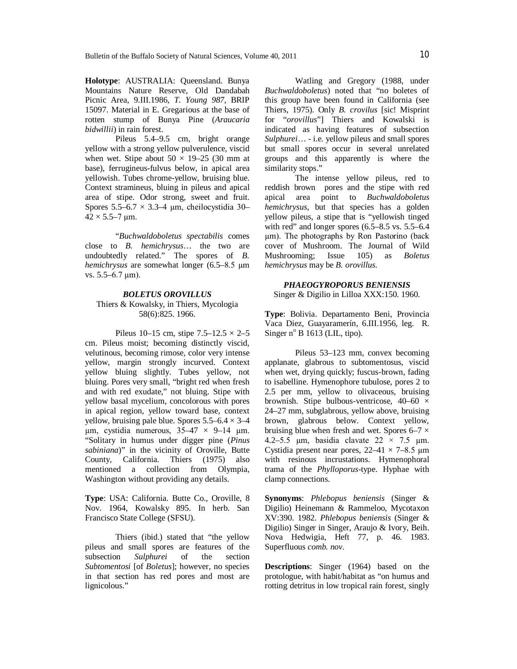**Holotype**: AUSTRALIA: Queensland. Bunya Mountains Nature Reserve, Old Dandabah Picnic Area, 9.III.1986, *T. Young 987,* BRIP 15097. Material in E. Gregarious at the base of rotten stump of Bunya Pine (*Araucaria bidwillii*) in rain forest.

Pileus 5.4–9.5 cm, bright orange yellow with a strong yellow pulverulence, viscid when wet. Stipe about  $50 \times 19 - 25$  (30 mm at base), ferrugineus-fulvus below, in apical area yellowish. Tubes chrome-yellow, bruising blue. Context stramineus, bluing in pileus and apical area of stipe. Odor strong, sweet and fruit. Spores  $5.5-6.7 \times 3.3-4 \mu m$ , cheilocystidia 30- $42 \times 5.5 - 7 \,\mu m$ .

"*Buchwaldoboletus spectabilis* comes close to *B. hemichrysus*… the two are undoubtedly related." The spores of *B. hemichrysus* are somewhat longer (6.5–8.5 µm vs. 5.5–6.7 µm).

## *BOLETUS OROVILLUS* Thiers & Kowalsky, in Thiers, Mycologia 58(6):825. 1966.

Pileus 10–15 cm, stipe  $7.5-12.5 \times 2-5$ cm. Pileus moist; becoming distinctly viscid, velutinous, becoming rimose, color very intense yellow, margin strongly incurved. Context yellow bluing slightly. Tubes yellow, not bluing. Pores very small, "bright red when fresh and with red exudate," not bluing. Stipe with yellow basal mycelium, concolorous with pores in apical region, yellow toward base, context yellow, bruising pale blue. Spores  $5.5-6.4 \times 3-4$  $\mu$ m, cystidia numerous, 35–47 × 9–14  $\mu$ m. "Solitary in humus under digger pine (*Pinus sabiniana*)" in the vicinity of Oroville, Butte County, California. Thiers (1975) also mentioned a collection from Olympia, Washington without providing any details.

**Type**: USA: California. Butte Co., Oroville, 8 Nov. 1964, Kowalsky 895. In herb. San Francisco State College (SFSU).

Thiers (ibid.) stated that "the yellow pileus and small spores are features of the subsection *Sulphurei* of the section *Subtomentosi* [of *Boletus*]; however, no species in that section has red pores and most are lignicolous."

Watling and Gregory (1988, under *Buchwaldoboletus*) noted that "no boletes of this group have been found in California (see Thiers, 1975). Only *B. crovilus* [sic! Misprint for "*orovillus*"] Thiers and Kowalski is indicated as having features of subsection *Sulphurei*… - i.e. yellow pileus and small spores but small spores occur in several unrelated groups and this apparently is where the similarity stops."

The intense yellow pileus, red to reddish brown pores and the stipe with red apical area point to *Buchwaldoboletus hemichrysus*, but that species has a golden yellow pileus, a stipe that is "yellowish tinged with red" and longer spores  $(6.5-8.5 \text{ vs. } 5.5-6.4)$ µm). The photographs by Ron Pastorino (back cover of Mushroom. The Journal of Wild Mushrooming; Issue 105) as *Boletus hemichrysus* may be *B. orovillus*.

# *PHAEOGYROPORUS BENIENSIS*

Singer & Digilio in Lilloa XXX:150. 1960.

**Type**: Bolivia. Departamento Beni, Provincia Vaca Diez, Guayaramerín, 6.III.1956, leg. R. Singer  $n^{\circ}$  B 1613 (LIL, tipo).

Pileus 53–123 mm, convex becoming applanate, glabrous to subtomentosus, viscid when wet, drying quickly; fuscus-brown, fading to isabelline. Hymenophore tubulose, pores 2 to 2.5 per mm, yellow to olivaceous, bruising brownish. Stipe bulbous-ventricose,  $40-60 \times$ 24–27 mm, subglabrous, yellow above, bruising brown, glabrous below. Context yellow, bruising blue when fresh and wet. Spores  $6-7 \times$ 4.2–5.5 µm, basidia clavate  $22 \times 7.5$  µm. Cystidia present near pores,  $22-41 \times 7-8.5 \text{ µm}$ with resinous incrustations. Hymenophoral trama of the *Phylloporus*-type. Hyphae with clamp connections.

**Synonyms**: *Phlebopus beniensis* (Singer & Digilio) Heinemann & Rammeloo, Mycotaxon XV:390. 1982. *Phlebopus beniensis* (Singer & Digilio) Singer in Singer, Araujo & Ivory, Beih. Nova Hedwigia, Heft 77, p. 46. 1983. Superfluous *comb. nov*.

**Descriptions**: Singer (1964) based on the protologue, with habit/habitat as "on humus and rotting detritus in low tropical rain forest, singly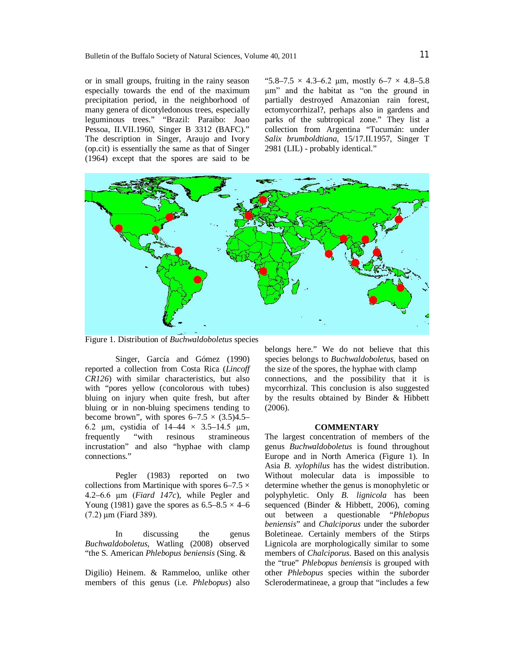or in small groups, fruiting in the rainy season especially towards the end of the maximum precipitation period, in the neighborhood of many genera of dicotyledonous trees, especially leguminous trees." "Brazil: Paraibo: Joao Pessoa, II.VII.1960, Singer B 3312 (BAFC)." The description in Singer, Araujo and Ivory (op.cit) is essentially the same as that of Singer (1964) except that the spores are said to be

"5.8–7.5  $\times$  4.3–6.2 µm, mostly 6–7  $\times$  4.8–5.8 µm" and the habitat as "on the ground in partially destroyed Amazonian rain forest, ectomycorrhizal?, perhaps also in gardens and parks of the subtropical zone." They list a collection from Argentina "Tucumán: under *Salix brumboldtiana*, 15/17.II.1957, Singer T 2981 (LIL) - probably identical."



Figure 1. Distribution of *Buchwaldoboletus* species

Singer, García and Gómez (1990) reported a collection from Costa Rica (*Lincoff CR126*) with similar characteristics, but also with "pores yellow (concolorous with tubes) bluing on injury when quite fresh, but after bluing or in non-bluing specimens tending to become brown", with spores  $6-7.5 \times (3.5)4.5$ -6.2 µm, cystidia of  $14-44 \times 3.5-14.5$  µm, frequently "with resinous stramineous incrustation" and also "hyphae with clamp connections."

Pegler (1983) reported on two collections from Martinique with spores  $6-7.5 \times$ 4.2–6.6 µm (*Fiard 147c*), while Pegler and Young (1981) gave the spores as  $6.5-8.5 \times 4-6$  $(7.2) \,\mu m$  (Fiard 389).

In discussing the genus *Buchwaldoboletus*, Watling (2008) observed "the S. American *Phlebopus beniensis* (Sing. &

Digilio) Heinem. & Rammeloo, unlike other members of this genus (i.e. *Phlebopus*) also

belongs here." We do not believe that this species belongs to *Buchwaldoboletus*, based on the size of the spores, the hyphae with clamp connections, and the possibility that it is mycorrhizal. This conclusion is also suggested by the results obtained by Binder & Hibbett (2006).

#### **COMMENTARY**

The largest concentration of members of the genus *Buchwaldoboletus* is found throughout Europe and in North America (Figure 1). In Asia *B. xylophilus* has the widest distribution. Without molecular data is impossible to determine whether the genus is monophyletic or polyphyletic. Only *B. lignicola* has been sequenced (Binder & Hibbett, 2006), coming out between a questionable "*Phlebopus beniensis*" and *Chalciporus* under the suborder Boletineae. Certainly members of the Stirps Lignicola are morphologically similar to some members of *Chalciporus*. Based on this analysis the "true" *Phlebopus beniensis* is grouped with other *Phlebopus* species within the suborder Sclerodermatineae, a group that "includes a few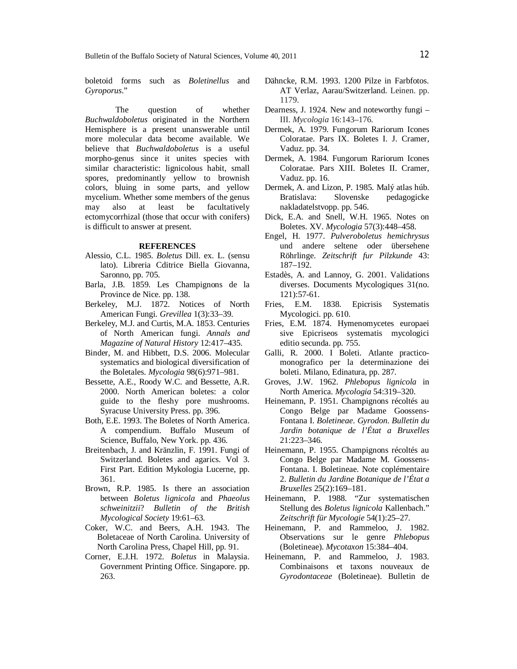boletoid forms such as *Boletinellus* and *Gyroporus*."

The question of whether *Buchwaldoboletus* originated in the Northern Hemisphere is a present unanswerable until more molecular data become available. We believe that *Buchwaldoboletus* is a useful morpho-genus since it unites species with similar characteristic: lignicolous habit, small spores, predominantly yellow to brownish colors, bluing in some parts, and yellow mycelium. Whether some members of the genus may also at least be facultatively ectomycorrhizal (those that occur with conifers) is difficult to answer at present.

#### **REFERENCES**

- Alessio, C.L. 1985. *Boletus* Dill. ex. L. (sensu lato). Libreria Cditrice Biella Giovanna, Saronno, pp. 705.
- Barla, J.B. 1859. Les Champignons de la Province de Nice. pp. 138.
- Berkeley, M.J. 1872. Notices of North American Fungi. *Grevillea* 1(3):33–39.
- Berkeley, M.J. and Curtis, M.A. 1853. Centuries of North American fungi. *Annals and Magazine of Natural History* 12:417–435.
- Binder, M. and Hibbett, D.S. 2006. Molecular systematics and biological diversification of the Boletales. *Mycologia* 98(6):971–981.
- Bessette, A.E., Roody W.C. and Bessette, A.R. 2000. North American boletes: a color guide to the fleshy pore mushrooms. Syracuse University Press. pp. 396.
- Both, E.E. 1993. The Boletes of North America. A compendium. Buffalo Museum of Science, Buffalo, New York. pp. 436.
- Breitenbach, J. and Kränzlin, F. 1991. Fungi of Switzerland. Boletes and agarics. Vol 3. First Part. Edition Mykologia Lucerne, pp. 361.
- Brown, R.P. 1985. Is there an association between *Boletus lignicola* and *Phaeolus schweinitzii*? *Bulletin of the British Mycological Society* 19:61–63.
- Coker, W.C. and Beers, A.H. 1943. The Boletaceae of North Carolina. University of North Carolina Press, Chapel Hill, pp. 91.
- Corner, E.J.H. 1972. *Boletus* in Malaysia. Government Printing Office. Singapore. pp. 263.
- Dähncke, R.M. 1993. 1200 Pilze in Farbfotos. AT Verlaz, Aarau/Switzerland. Leinen. pp. 1179.
- Dearness, J. 1924. New and noteworthy fungi III. *Mycologia* 16:143–176.
- Dermek, A. 1979. Fungorum Rariorum Icones Coloratae. Pars IX. Boletes I. J. Cramer, Vaduz. pp. 34.
- Dermek, A. 1984. Fungorum Rariorum Icones Coloratae. Pars XIII. Boletes II. Cramer, Vaduz. pp. 16.
- Dermek, A. and Lizon, P. 1985. Malý atlas húb. Bratislava: Slovenske pedagogicke nakladatelstvopp. pp. 546.
- Dick, E.A. and Snell, W.H. 1965. Notes on Boletes. XV*. Mycologia* 57(3):448–458.
- Engel, H. 1977. *Pulveroboletus hemichrysus* und andere seltene oder übersehene Röhrlinge. *Zeitschrift fur Pilzkunde* 43: 187–192.
- Estadès, A. and Lannoy, G. 2001. Validations diverses. Documents Mycologiques 31(no. 121):57-61.
- Fries, E.M. 1838. Epicrisis Systematis Mycologici. pp. 610.
- Fries, E.M. 1874. Hymenomycetes europaei sive Epicriseos systematis mycologici editio secunda. pp. 755.
- Galli, R. 2000. I Boleti. Atlante practicomonografico per la determinazione dei boleti. Milano, Edinatura, pp. 287.
- Groves, J.W. 1962. *Phlebopus lignicola* in North America. *Mycologia* 54:319–320.
- Heinemann, P. 1951. Champignons récoltés au Congo Belge par Madame Goossens-Fontana I. *Boletineae*. *Gyrodon*. *Bulletin du Jardin botanique de l'État a Bruxelles* 21:223–346.
- Heinemann, P. 1955. Champignons récoltés au Congo Belge par Madame M. Goossens-Fontana. I. Boletineae. Note coplémentaire 2. *Bulletin du Jardine Botanique de l'État a Bruxelles* 25(2):169–181.
- Heinemann, P. 1988. "Zur systematischen Stellung des *Boletus lignicola* Kallenbach." *Zeitschrift für Mycologie* 54(1):25–27.
- Heinemann, P. and Rammeloo, J. 1982. Observations sur le genre *Phlebopus* (Boletineae). *Mycotaxon* 15:384–404.
- Heinemann, P. and Rammeloo, J. 1983. Combinaisons et taxons nouveaux de *Gyrodontaceae* (Boletineae). Bulletin de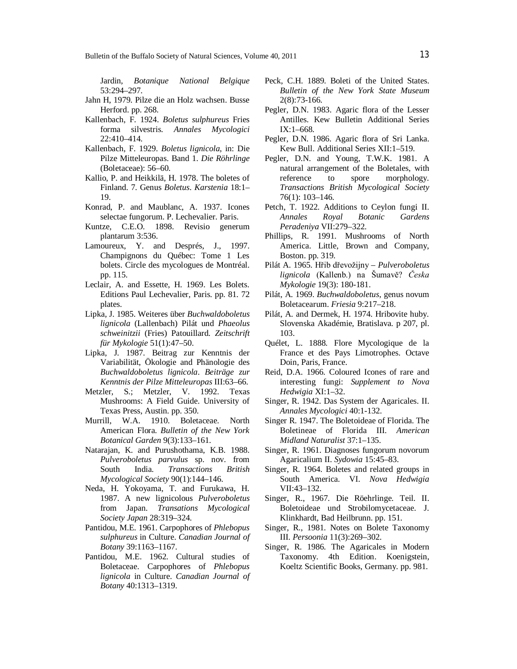Jardin, *Botanique National Belgique* 53:294–297.

- Jahn H, 1979. Pilze die an Holz wachsen. Busse Herford. pp. 268.
- Kallenbach, F. 1924. *Boletus sulphureus* Fries forma silvestris. *Annales Mycologici* 22:410–414.
- Kallenbach, F. 1929. *Boletus lignicola*, in: Die Pilze Mitteleuropas. Band 1. *Die Röhrlinge*  (Boletaceae): 56–60.
- Kallio, P. and Heikkilä, H. 1978. The boletes of Finland. 7. Genus *Boletus*. *Karstenia* 18:1– 19.
- Konrad, P. and Maublanc, A. 1937. Icones selectae fungorum. P. Lechevalier. Paris.
- Kuntze, C.E.O. 1898. Revisio generum plantarum 3:536.
- Lamoureux, Y. and Després, J., 1997. Champignons du Québec: Tome 1 Les bolets. Circle des mycologues de Montréal. pp. 115.
- Leclair, A. and Essette, H. 1969. Les Bolets. Editions Paul Lechevalier, Paris. pp. 81. 72 plates.
- Lipka, J. 1985. Weiteres über *Buchwaldoboletus lignicola* (Lallenbach) Pilát und *Phaeolus schweinitzii* (Fries) Patouillard. *Zeitschrift für Mykologie* 51(1):47–50.
- Lipka, J. 1987. Beitrag zur Kenntnis der Variabilität, Ökologie and Phänologie des *Buchwaldoboletus lignicola*. *Beiträge zur Kenntnis der Pilze Mitteleuropas* III:63–66.
- Metzler, S.; Metzler, V. 1992. Texas Mushrooms: A Field Guide. University of Texas Press, Austin. pp. 350.
- Murrill, W.A. 1910. Boletaceae. North American Flora. *Bulletin of the New York Botanical Garden* 9(3):133–161.
- Natarajan, K. and Purushothama, K.B. 1988. *Pulveroboletus parvulus* sp. nov. from South India. *Transactions British Mycological Society* 90(1):144–146.
- Neda, H. Yokoyama, T. and Furukawa, H. 1987. A new lignicolous *Pulveroboletus* from Japan. *Transations Mycological Society Japan* 28:319–324.
- Pantidou, M.E. 1961. Carpophores of *Phlebopus sulphureus* in Culture. *Canadian Journal of Botany* 39:1163–1167.
- Pantidou, M.E. 1962. Cultural studies of Boletaceae. Carpophores of *Phlebopus lignicola* in Culture. *Canadian Journal of Botany* 40:1313–1319.
- Peck, C.H. 1889. Boleti of the United States. *Bulletin of the New York State Museum* 2(8):73-166.
- Pegler, D.N. 1983. Agaric flora of the Lesser Antilles. Kew Bulletin Additional Series IX:1–668.
- Pegler, D.N. 1986. Agaric flora of Sri Lanka. Kew Bull. Additional Series XII:1–519.
- Pegler, D.N. and Young, T.W.K. 1981. A natural arrangement of the Boletales, with reference to spore morphology. *Transactions British Mycological Society* 76(1): 103–146.
- Petch, T. 1922. Additions to Ceylon fungi II. *Annales Royal Botanic Gardens Peradeniya* VII:279–322.
- Phillips, R. 1991. Mushrooms of North America. Little, Brown and Company, Boston. pp. 319.
- Pilát A. 1965. Hřib dřevožijny *Pulveroboletus lignicola* (Kallenb.) na Šumavě? *Česka Mykologie* 19(3): 180-181.
- Pilát, A. 1969. *Buchwaldoboletus*, genus novum Boletacearum. *Friesia* 9:217–218.
- Pilát, A. and Dermek, H. 1974. Hribovite huby. Slovenska Akadémie, Bratislava. p 207, pl. 103.
- Quélet, L. 1888*.* Flore Mycologique de la France et des Pays Limotrophes. Octave Doin, Paris, France.
- Reid, D.A. 1966. Coloured Icones of rare and interesting fungi: *Supplement to Nova Hedwigia* XI:1–32.
- Singer, R. 1942. Das System der Agaricales. II. *Annales Mycologici* 40:1-132.
- Singer R. 1947. The Boletoideae of Florida. The Boletineae of Florida III. *American Midland Naturalist* 37:1–135.
- Singer, R. 1961. Diagnoses fungorum novorum Agaricalium II. *Sydowia* 15:45–83.
- Singer, R. 1964. Boletes and related groups in South America. VI. *Nova Hedwigia* VII:43–132.
- Singer, R., 1967. Die Röehrlinge. Teil. II. Boletoideae und Strobilomycetaceae. J. Klinkhardt, Bad Heilbrunn. pp. 151.
- Singer, R., 1981. Notes on Bolete Taxonomy III*. Persoonia* 11(3):269–302.
- Singer, R. 1986. The Agaricales in Modern Taxonomy. 4th Edition. Koenigstein, Koeltz Scientific Books, Germany. pp. 981.